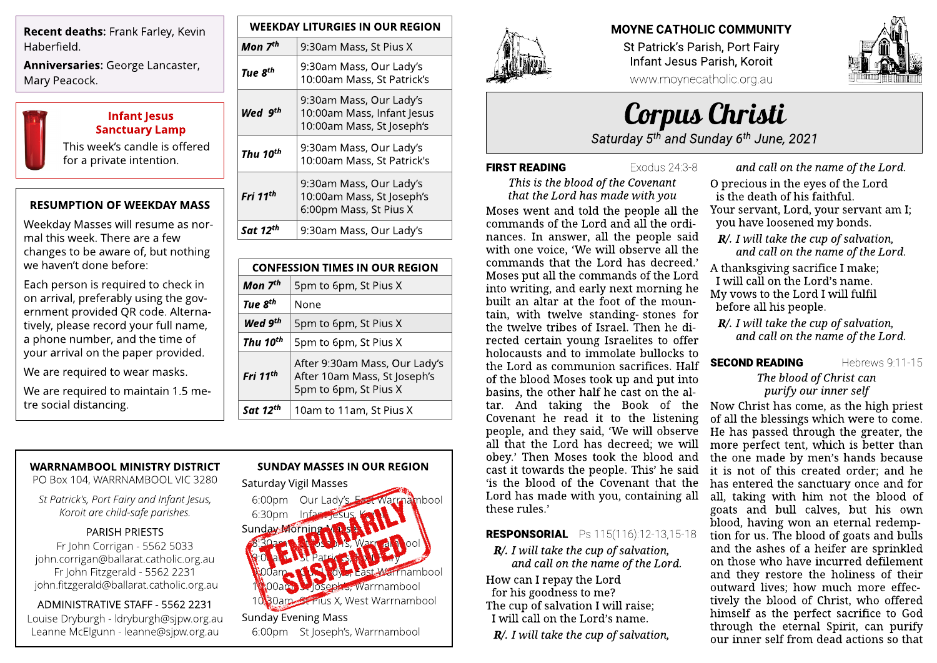Recent deaths: Frank Farley, Kevin Haberfield.

Anniversaries: George Lancaster, Mary Peacock.

## Infant Jesus **Sanctuary Lamp** This week's candle is offered

for a private intention.

#### RESUMPTION OF WEEKDAY MASS

Weekday Masses will resume as normal this week. There are a few changes to be aware of, but nothing we haven?t done before:

Each person is required to check in on arrival, preferably using the government provided QR code. Alternatively, please record your full name, a phone number, and the time of your arrival on the paper provided.

We are required to wear masks.

We are required to maintain 1.5 metre social distancing.

| <b>WEEKDAY LITURGIES IN OUR REGION</b> |                                                                                    |  |
|----------------------------------------|------------------------------------------------------------------------------------|--|
| Mon $7th$                              | 9:30am Mass, St Pius X                                                             |  |
| Tue 8 <sup>th</sup>                    | 9:30am Mass, Our Lady's<br>10:00am Mass, St Patrick's                              |  |
| Wed 9 <sup>th</sup>                    | 9:30am Mass, Our Lady's<br>10:00am Mass, Infant Jesus<br>10:00am Mass, St Joseph's |  |
| Thu 10 <sup>th</sup>                   | 9:30am Mass, Our Lady's<br>10:00am Mass, St Patrick's                              |  |
| Fri 11 <sup>th</sup>                   | 9:30am Mass, Our Lady's<br>10:00am Mass, St Joseph's<br>6:00pm Mass, St Pius X     |  |
| Sat 12 <sup>th</sup>                   | 9:30am Mass, Our Lady's                                                            |  |

| <b>CONFESSION TIMES IN OUR REGION</b> |                                                                                        |  |
|---------------------------------------|----------------------------------------------------------------------------------------|--|
| Mon $7th$                             | 5pm to 6pm, St Pius X                                                                  |  |
| Tue 8 <sup>th</sup>                   | None                                                                                   |  |
| Wed 9 <sup>th</sup>                   | 5pm to 6pm, St Pius X                                                                  |  |
| Thu 10 <sup>th</sup>                  | 5pm to 6pm, St Pius X                                                                  |  |
| Fri 11 <sup>th</sup>                  | After 9:30am Mass, Our Lady's<br>After 10am Mass, St Joseph's<br>5pm to 6pm, St Pius X |  |
| Sat $12^{th}$                         | 10am to 11am, St Pius X                                                                |  |

#### WARRNAMBOOL MINISTRY DISTRICT

PO Box 104, WARRNAMBOOL VIC 3280

**St Patrick's, Port Fairy and Infant Jesus, Koroit are child-safe parishes.**

#### PARISH PRIESTS

Fr John Corrigan - 5562 5033 john.corrigan@ballarat.catholic.org.au Fr John Fitzgerald - 5562 2231 john.fitzgerald@ballarat.catholic.org.au

#### ADMINISTRATIVE STAFF - 5562 2231

Louise Dryburgh - ldryburgh@sjpw.org.au Leanne McElgunn - leanne@sjpw.org.au

#### SUNDAY MASSES IN OUR REGION





### MOYNE CATHOLIC COMMUNITY St Patrick's Parish, Port Fairy Infant Jesus Parish, Koroit

[www.moynecatholic.org.au](http://www.moynecatholic.org.au)



# Corpus Christi

**Saturday 5 th and Sunday 6 th June, 2021**

#### **FIRST READING Exodus 24:3-8**

**Thisisthe blood of the Covenant that the Lord has made with you**

Moses went and told the people all the commands of the Lord and all the ordinances. In answer, all the people said with one voice, 'We will observe all the commands that the Lord has decreed.? Moses put all the commands of the Lord into writing, and early next morning he built an altar at the foot of the mountain, with twelve standing- stones for the twelve tribes of Israel. Then he directed certain young Israelites to offer holocausts and to immolate bullocks to the Lord as communion sacrifices. Half of the blood Moses took up and put into basins, the other half he cast on the altar. And taking the Book of the Covenant he read it to the listening people, and they said, 'We will observe all that the Lord has decreed; we will obey.? Then Moses took the blood and cast it towards the people. This' he said ?is the blood of the Covenant that the Lord has made with you, containing all these rules.?

### RESPONSORIAL Ps 115(116):12-13,15-18

**R**/. **I** will take the cup of salvation, **and call on the name of the Lord.**

How can I repay the Lord for his goodness to me? The cup of salvation I will raise; I will call on the Lord?s name.

**R**/. I will take the cup of salvation,

**and call on the name of the Lord.** O precious in the eyes of the Lord is the death of his faithful. Your servant, Lord, your servant am I; you have loosened my bonds.

**R**/. I will take the cup of salvation, **and call on the name of the Lord.**

A thanksgiving sacrifice I make; I will call on the Lord's name. My vows to the Lord I will fulfil before all his people.

**R**/. I will take the cup of salvation, **and call on the name of the Lord.**

### **SECOND READING** Hebrews 9:11-15

**The blood of Christ can purify our inner self**

Now Christ has come, as the high priest of all the blessings which were to come. He has passed through the greater, the more perfect tent, which is better than the one made by men?s hands because it is not of this created order; and he has entered the sanctuary once and for all, taking with him not the blood of goats and bull calves, but his own blood, having won an eternal redemption for us. The blood of goats and bulls and the ashes of a heifer are sprinkled on those who have incurred defilement and they restore the holiness of their outward lives; how much more effectively the blood of Christ, who offered himself as the perfect sacrifice to God through the eternal Spirit, can purify our inner self from dead actions so that